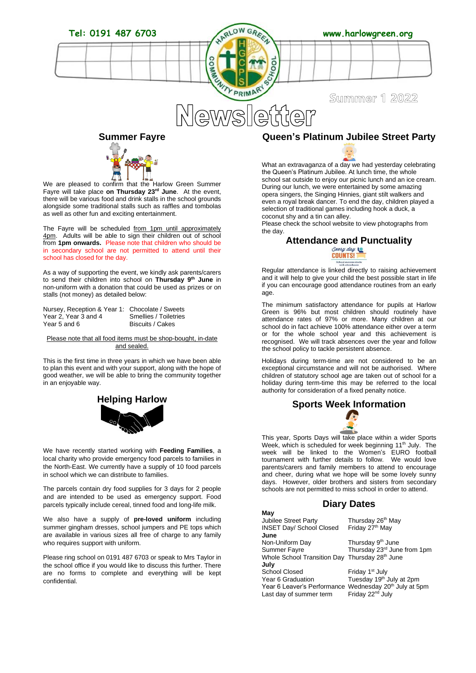



We are pleased to confirm that the Harlow Green Summer Fayre will take place **on Thursday 23rd June**. At the event, there will be various food and drink stalls in the school grounds alongside some traditional stalls such as raffles and tombolas as well as other fun and exciting entertainment.

The Fayre will be scheduled from 1pm until approximately 4pm. Adults will be able to sign their children out of school from **1pm onwards.** Please note that children who should be in secondary school are not permitted to attend until their school has closed for the day.

As a way of supporting the event, we kindly ask parents/carers to send their children into school on **Thursday 9th June** in non-uniform with a donation that could be used as prizes or on stalls (not money) as detailed below:

Nursey, Reception & Year 1: Chocolate / Sweets Year 2, Year 3 and 4 Smellies / Toiletries<br>Year 5 and 6 Biscuits / Cakes

**Biscuits / Cakes** 

#### Please note that all food items must be shop-bought, in-date and sealed.

This is the first time in three years in which we have been able to plan this event and with your support, along with the hope of good weather, we will be able to bring the community together in an enjoyable way.



We have recently started working with **Feeding Families**, a local charity who provide emergency food parcels to families in the North-East. We currently have a supply of 10 food parcels in school which we can distribute to families.

The parcels contain dry food supplies for 3 days for 2 people and are intended to be used as emergency support. Food parcels typically include cereal, tinned food and long-life milk.

We also have a supply of **pre-loved uniform** including summer gingham dresses, school jumpers and PE tops which are available in various sizes all free of charge to any family who requires support with uniform.

Please ring school on 0191 487 6703 or speak to Mrs Taylor in the school office if you would like to discuss this further. There are no forms to complete and everything will be kept confidential.

### **Queen's Platinum Jubilee Street Party**

What an extravaganza of a day we had yesterday celebrating the Queen's Platinum Jubilee. At lunch time, the whole school sat outside to enjoy our picnic lunch and an ice cream. During our lunch, we were entertained by some amazing opera singers, the Singing Hinnies, giant stilt walkers and even a royal break dancer. To end the day, children played a selection of traditional games including hook a duck, a coconut shy and a tin can alley.

Please check the school website to view photographs from the day.

## **Attendance and Punctuality**<br>Counts!



Regular attendance is linked directly to raising achievement and it will help to give your child the best possible start in life if you can encourage good attendance routines from an early age.

The minimum satisfactory attendance for pupils at Harlow Green is 96% but most children should routinely have attendance rates of 97% or more. Many children at our school do in fact achieve 100% attendance either over a term or for the whole school year and this achievement is recognised. We will track absences over the year and follow the school policy to tackle persistent absence.

Holidays during term-time are not considered to be an exceptional circumstance and will not be authorised. Where children of statutory school age are taken out of school for a holiday during term-time this may be referred to the local authority for consideration of a fixed penalty notice.

# **Sports Week Information**

This year, Sports Days will take place within a wider Sports Week, which is scheduled for week beginning 11<sup>th</sup> July. The week will be linked to the Women's EURO football tournament with further details to follow. We would love parents/carers and family members to attend to encourage and cheer, during what we hope will be some lovely sunny days. However, older brothers and sisters from secondary schools are not permitted to miss school in order to attend.

### **Diary Dates**

| May                                                                |                                      |
|--------------------------------------------------------------------|--------------------------------------|
| <b>Jubilee Street Party</b>                                        | Thursday 26 <sup>th</sup> May        |
| <b>INSET Day/ School Closed</b>                                    | Friday 27 <sup>th</sup> May          |
| June                                                               |                                      |
| Non-Uniform Day                                                    | Thursday 9 <sup>th</sup> June        |
| Summer Fayre                                                       | Thursday 23rd June from 1pm          |
| Whole School Transition Day Thursday 28th June                     |                                      |
| July                                                               |                                      |
| School Closed                                                      | Friday 1 <sup>st</sup> July          |
| Year 6 Graduation                                                  | Tuesday 19 <sup>th</sup> July at 2pm |
| Year 6 Leaver's Performance Wednesday 20 <sup>th</sup> July at 5pm |                                      |
| Last day of summer term                                            | Friday 22 <sup>nd</sup> July         |